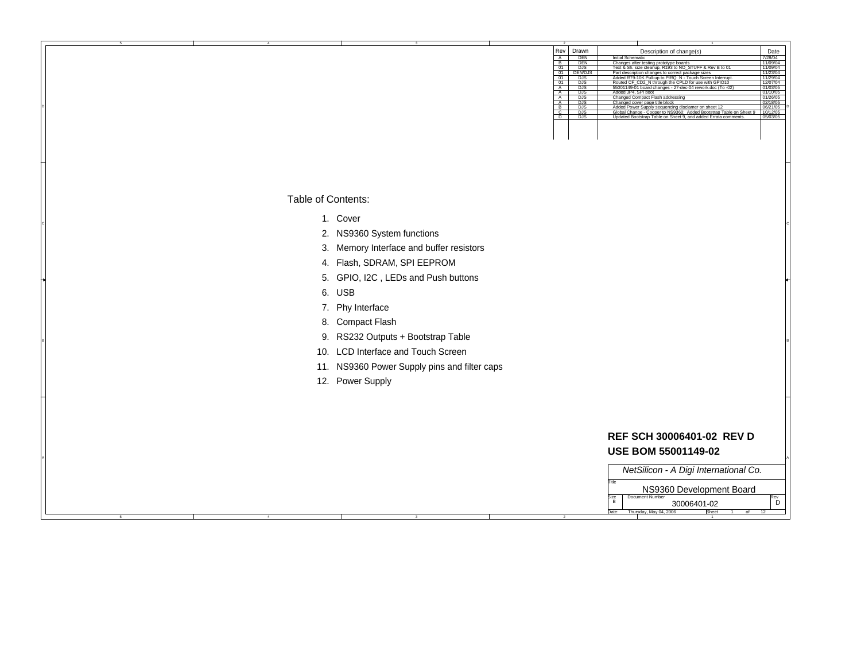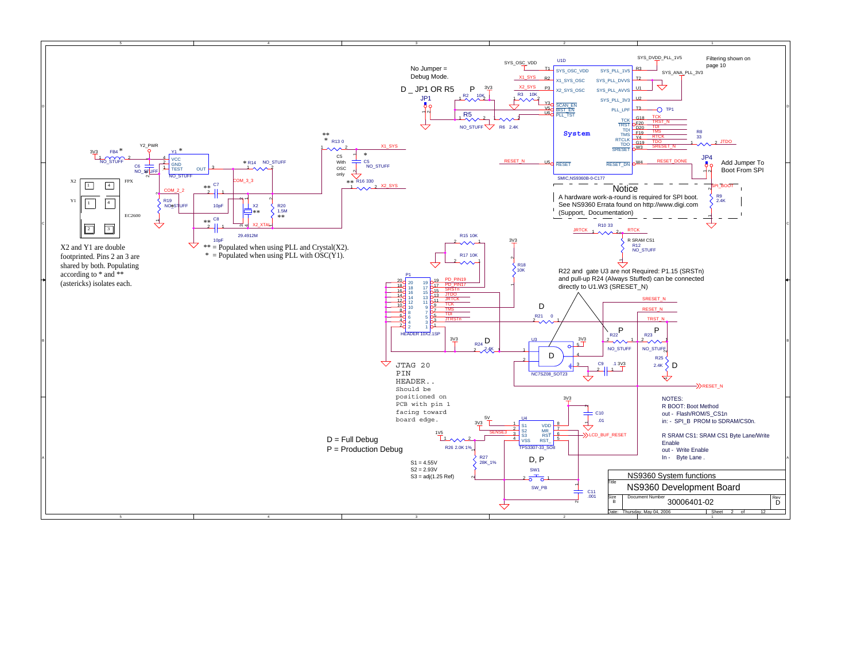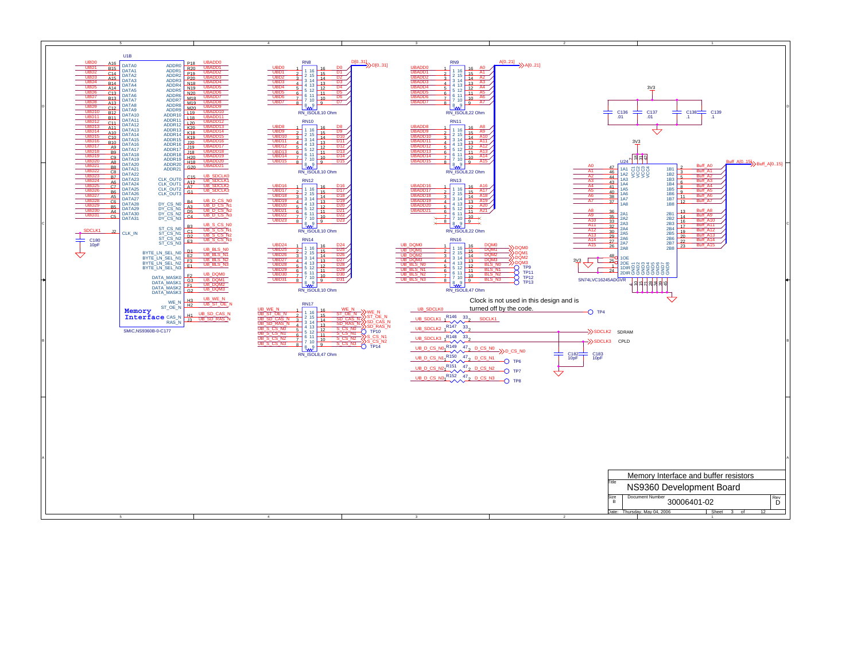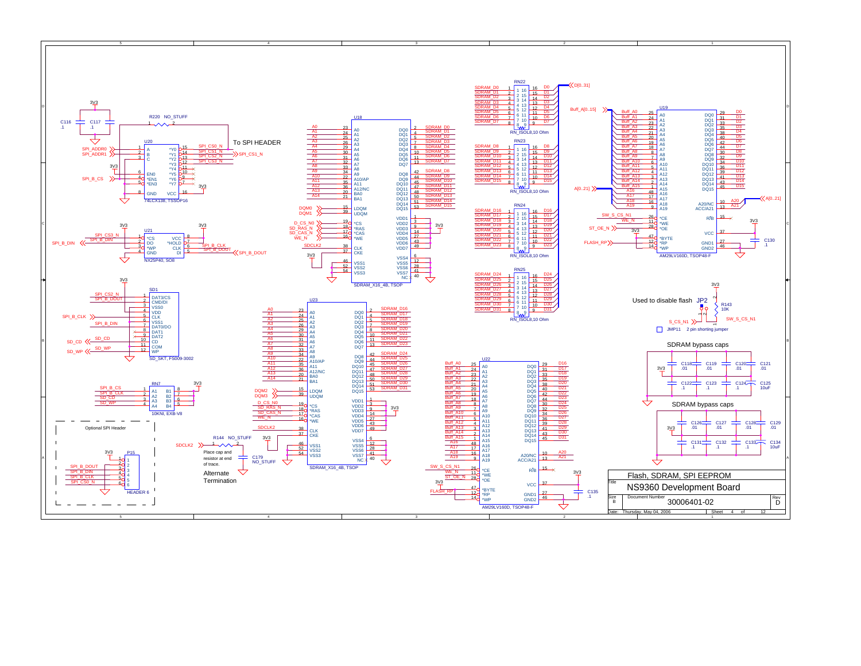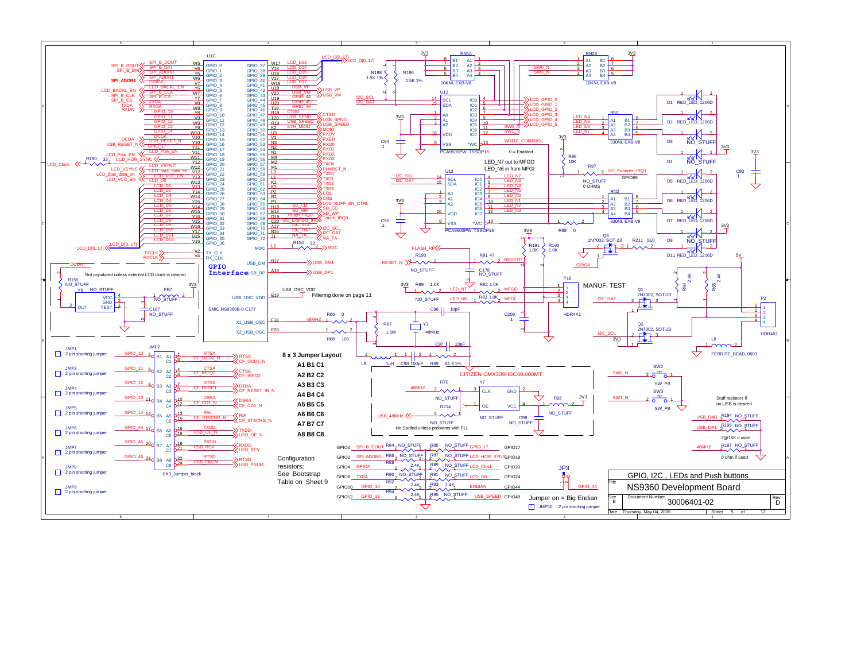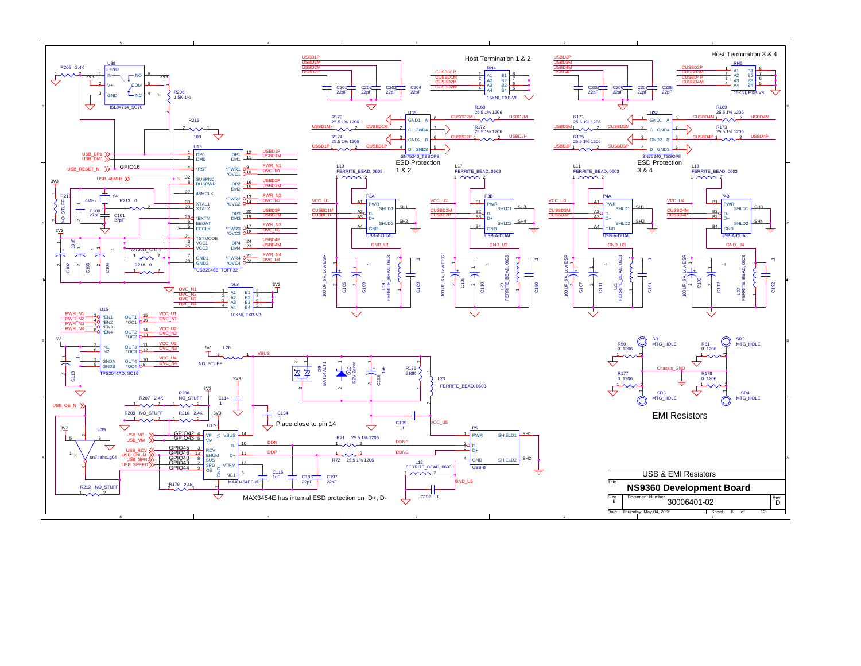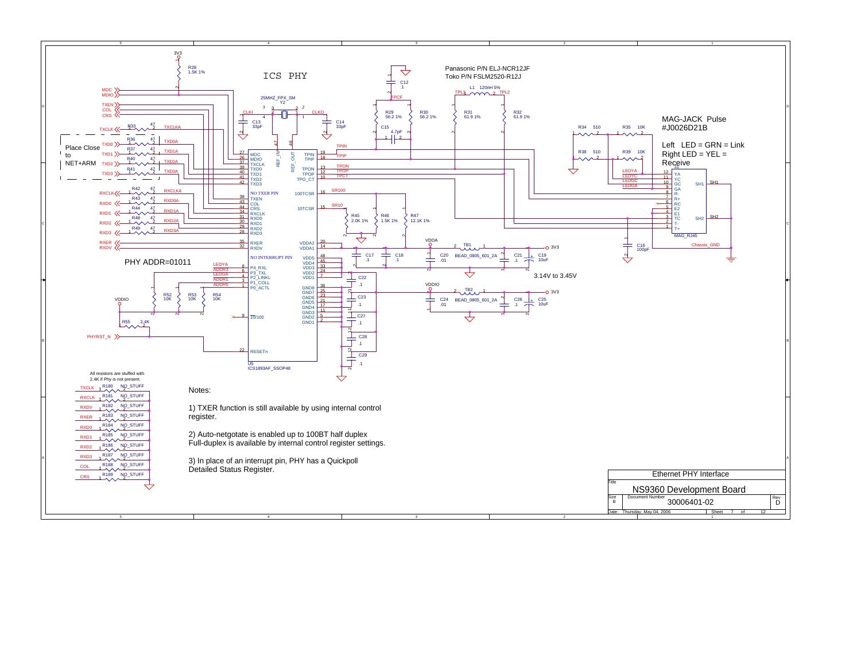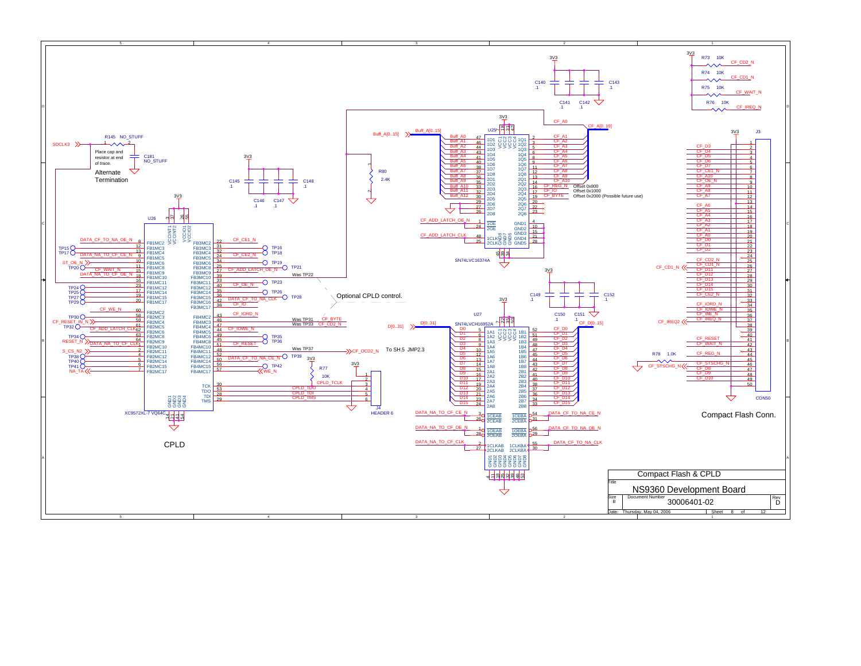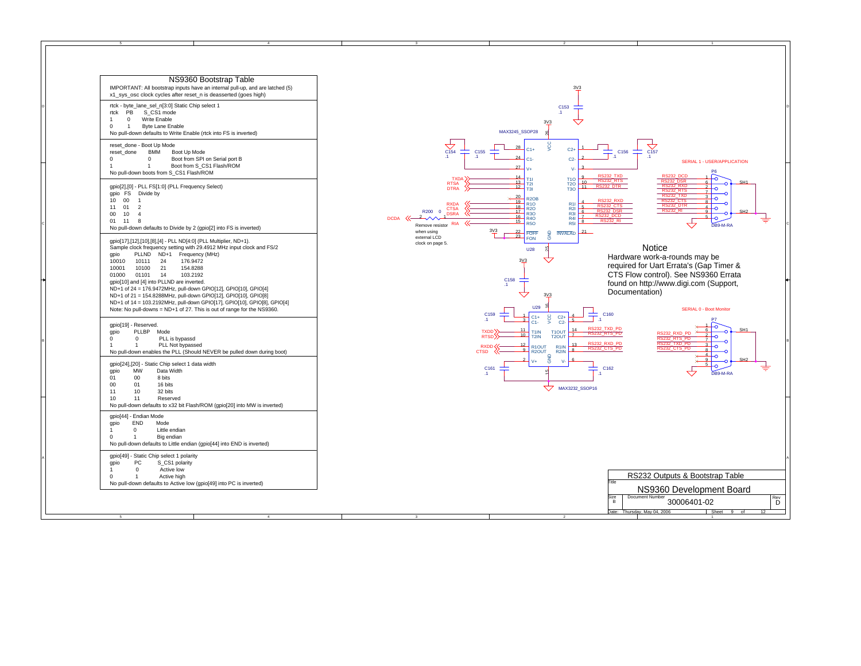|                                 | NS9360 Bootstrap Table<br>IMPORTANT: All bootstrap inputs have an internal pull-up, and are latched (5)<br>x1_sys_osc clock cycles after reset_n is deasserted (goes high)                                                                                                                                                                                                                                                                                                                                                                                                                             |
|---------------------------------|--------------------------------------------------------------------------------------------------------------------------------------------------------------------------------------------------------------------------------------------------------------------------------------------------------------------------------------------------------------------------------------------------------------------------------------------------------------------------------------------------------------------------------------------------------------------------------------------------------|
| rtck<br>1<br>0                  | rtck - byte_lane_sel_n[3:0] Static Chip select 1<br>PB<br>S CS1 mode<br>$\mathbf 0$<br>Write Enable<br>1<br>Byte Lane Enable<br>No pull-down defaults to Write Enable (rtck into FS is inverted)                                                                                                                                                                                                                                                                                                                                                                                                       |
| reset_done<br>0<br>1            | reset_done - Boot Up Mode<br><b>BMM</b><br>Boot Up Mode<br>0<br>Boot from SPI on Serial port B<br>$\mathbf{1}$<br>Boot from S CS1 Flash/ROM<br>No pull-down boots from S_CS1 Flash/ROM                                                                                                                                                                                                                                                                                                                                                                                                                 |
| gpio FS<br>10<br>11<br>00<br>01 | gpio[2],[0] - PLL FS[1:0] (PLL Frequency Select)<br>Divide by<br>$00\,$<br>1<br>01<br>$\overline{2}$<br>10<br>$\Delta$<br>11<br>8<br>No pull-down defaults to Divide by 2 (gpio[2] into FS is inverted)                                                                                                                                                                                                                                                                                                                                                                                                |
| gpio<br>10010<br>10001<br>01000 | gpio[17],[12],[10],[8],[4] - PLL ND[4:0] (PLL Multiplier, ND+1).<br>Sample clock frequency setting with 29.4912 MHz input clock and FS/2<br>PLLND<br>ND+1<br>Frequency (MHz)<br>10111<br>24<br>176.9472<br>10100<br>21<br>154.8288<br>01101<br>14<br>103.2192<br>gpio[10] and [4] into PLLND are inverted.<br>ND+1 of 24 = 176.9472MHz, pull-down GPIO[12], GPIO[10], GPIO[4]<br>ND+1 of 21 = 154.8288MHz, pull-down GPIO[12], GPIO[10], GPIO[8]<br>ND+1 of 14 = 103.2192MHz, pull-down GPIO[17], GPIO[10], GPIO[8], GPIO[4]<br>Note: No pull-downs = ND+1 of 27. This is out of range for the NS9360. |
| gpio<br>0<br>1                  | gpio[19] - Reserved.<br>PLLBP<br>Mode<br>$\mathbf 0$<br>PLL is bypassd<br>1<br>PLL Not bypassed<br>No pull-down enables the PLL (Should NEVER be pulled down during boot)                                                                                                                                                                                                                                                                                                                                                                                                                              |
| gpio<br>01<br>00<br>11<br>10    | gpio[24],[20] - Static Chip select 1 data width<br><b>MW</b><br>Data Width<br>8 bits<br>00<br>01<br>16 bits<br>32 bits<br>10<br>11<br>Reserved<br>No pull-down defaults to x32 bit Flash/ROM (gpio[20] into MW is inverted)                                                                                                                                                                                                                                                                                                                                                                            |
| gpio<br>1<br>$\Omega$           | gpio[44] - Endian Mode<br>END<br>Mode<br>0<br>Little endian<br>Big endian<br>1<br>No pull-down defaults to Little endian (gpio[44] into END is inverted)                                                                                                                                                                                                                                                                                                                                                                                                                                               |
| gpio                            | gpio[49] - Static Chip select 1 polarity<br>PC<br>S_CS1 polarity<br>$\mathbf 0$<br>Active low                                                                                                                                                                                                                                                                                                                                                                                                                                                                                                          |

5

A

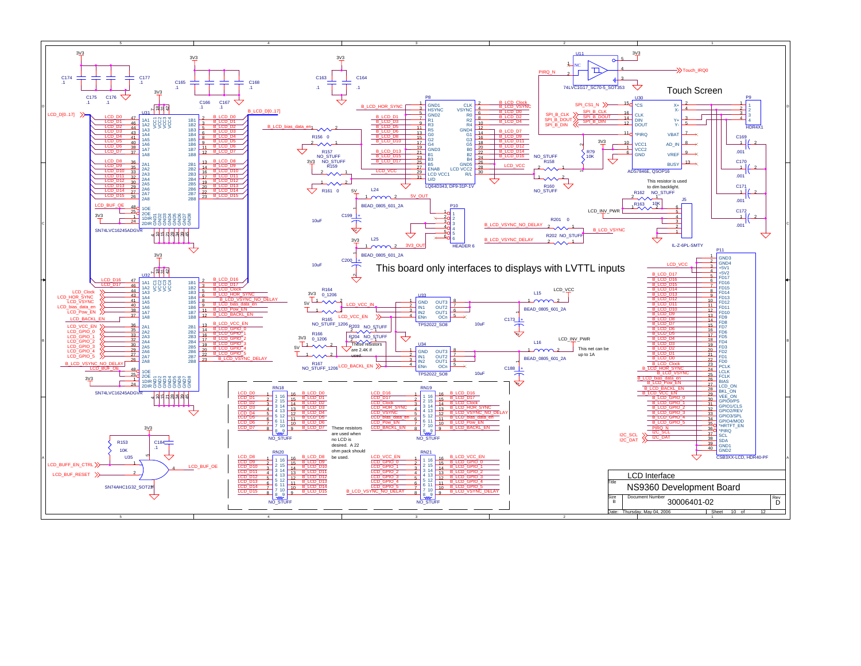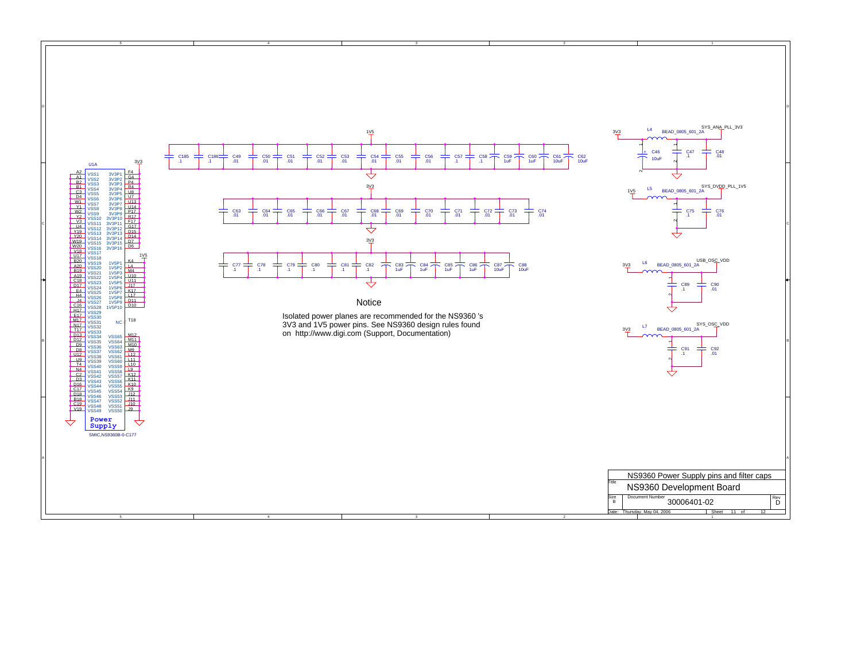

3

5